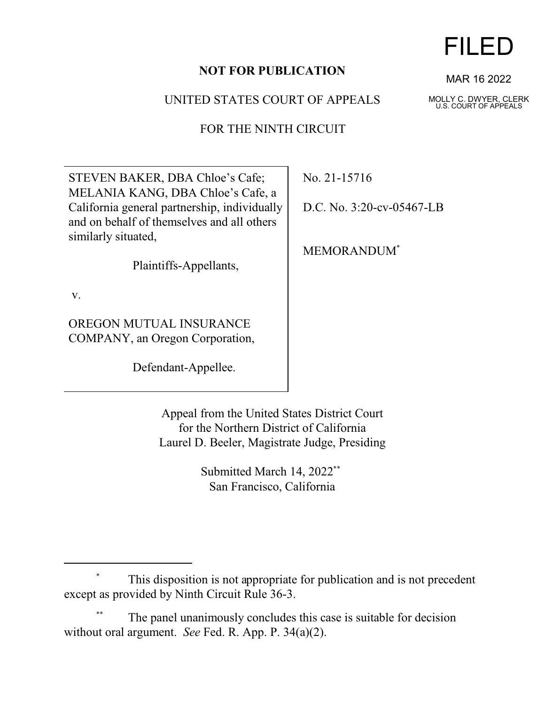## **NOT FOR PUBLICATION**

UNITED STATES COURT OF APPEALS

FOR THE NINTH CIRCUIT

STEVEN BAKER, DBA Chloe's Cafe; MELANIA KANG, DBA Chloe's Cafe, a California general partnership, individually and on behalf of themselves and all others similarly situated,

Plaintiffs-Appellants,

v.

OREGON MUTUAL INSURANCE COMPANY, an Oregon Corporation,

Defendant-Appellee.

No. 21-15716

D.C. No. 3:20-cv-05467-LB

MEMORANDUM\*

Appeal from the United States District Court for the Northern District of California Laurel D. Beeler, Magistrate Judge, Presiding

> Submitted March 14, 2022<sup>\*\*</sup> San Francisco, California

This disposition is not appropriate for publication and is not precedent except as provided by Ninth Circuit Rule 36-3.

The panel unanimously concludes this case is suitable for decision without oral argument. *See* Fed. R. App. P. 34(a)(2).



MAR 16 2022

MOLLY C. DWYER, CLERK U.S. COURT OF APPEALS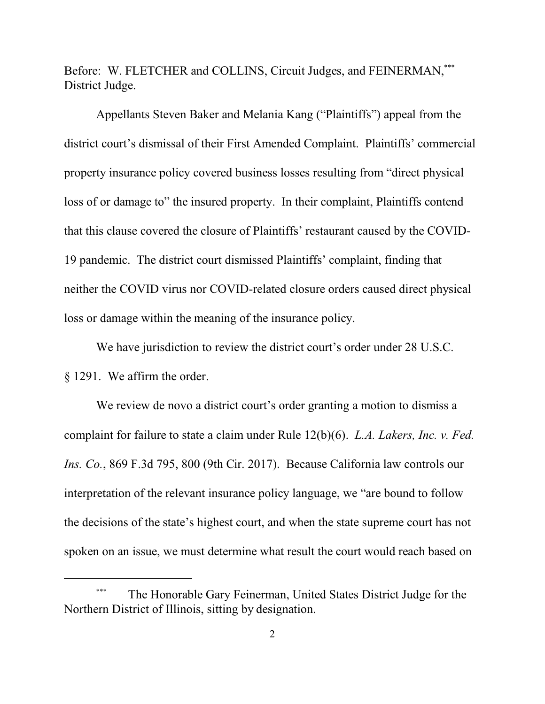Before: W. FLETCHER and COLLINS, Circuit Judges, and FEINERMAN,\*\*\* District Judge.

Appellants Steven Baker and Melania Kang ("Plaintiffs") appeal from the district court's dismissal of their First Amended Complaint. Plaintiffs' commercial property insurance policy covered business losses resulting from "direct physical loss of or damage to" the insured property. In their complaint, Plaintiffs contend that this clause covered the closure of Plaintiffs' restaurant caused by the COVID-19 pandemic. The district court dismissed Plaintiffs' complaint, finding that neither the COVID virus nor COVID-related closure orders caused direct physical loss or damage within the meaning of the insurance policy.

We have jurisdiction to review the district court's order under 28 U.S.C. § 1291. We affirm the order.

We review de novo a district court's order granting a motion to dismiss a complaint for failure to state a claim under Rule 12(b)(6). *L.A. Lakers, Inc. v. Fed. Ins. Co.*, 869 F.3d 795, 800 (9th Cir. 2017). Because California law controls our interpretation of the relevant insurance policy language, we "are bound to follow the decisions of the state's highest court, and when the state supreme court has not spoken on an issue, we must determine what result the court would reach based on

<sup>\*\*\*</sup> The Honorable Gary Feinerman, United States District Judge for the Northern District of Illinois, sitting by designation.